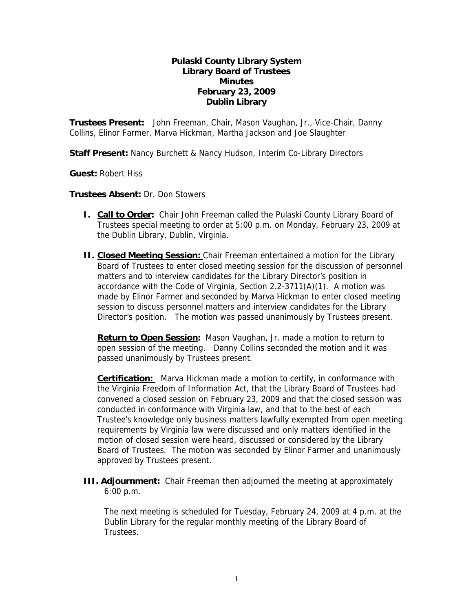## **Pulaski County Library System Library Board of Trustees Minutes February 23, 2009 Dublin Library**

**Trustees Present:** John Freeman, Chair, Mason Vaughan, Jr., Vice-Chair, Danny Collins, Elinor Farmer, Marva Hickman, Martha Jackson and Joe Slaughter

**Staff Present:** Nancy Burchett & Nancy Hudson, Interim Co-Library Directors

**Guest:** Robert Hiss

**Trustees Absent:** Dr. Don Stowers

- **I. Call to Order:** Chair John Freeman called the Pulaski County Library Board of Trustees special meeting to order at 5:00 p.m. on Monday, February 23, 2009 at the Dublin Library, Dublin, Virginia.
- **II. Closed Meeting Session:** Chair Freeman entertained a motion for the Library Board of Trustees to enter closed meeting session for the discussion of personnel matters and to interview candidates for the Library Director's position in accordance with the Code of Virginia, Section 2.2-3711(A)(1). A motion was made by Elinor Farmer and seconded by Marva Hickman to enter closed meeting session to discuss personnel matters and interview candidates for the Library Director's position. The motion was passed unanimously by Trustees present.

**Return to Open Session:** Mason Vaughan, Jr. made a motion to return to open session of the meeting. Danny Collins seconded the motion and it was passed unanimously by Trustees present.

**Certification:** Marva Hickman made a motion to certify, in conformance with the Virginia Freedom of Information Act, that the Library Board of Trustees had convened a closed session on February 23, 2009 and that the closed session was conducted in conformance with Virginia law, and that to the best of each Trustee's knowledge only business matters lawfully exempted from open meeting requirements by Virginia law were discussed and only matters identified in the motion of closed session were heard, discussed or considered by the Library Board of Trustees. The motion was seconded by Elinor Farmer and unanimously approved by Trustees present.

**III. Adjournment:** Chair Freeman then adjourned the meeting at approximately 6:00 p.m.

The next meeting is scheduled for Tuesday, February 24, 2009 at 4 p.m. at the Dublin Library for the regular monthly meeting of the Library Board of Trustees.